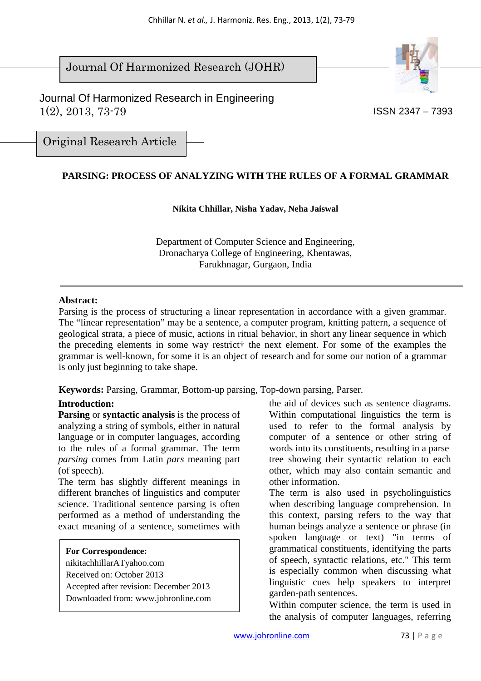$\overline{\phantom{a}}$ Journal Of Harmonized Research (JOHR)

 Journal Of Harmonized Research in Engineering 1(2), 2013, 73-79 ISSN 2347 – 7393



Original Research Article

## **PARSING: PROCESS OF ANALYZING WITH THE RULES OF A FORMAL GRAMMAR**

#### **Nikita Chhillar, Nisha Yadav, Neha Jaiswal**

Department of Computer Science and Engineering, Dronacharya College of Engineering, Khentawas, Farukhnagar, Gurgaon, India

#### **Abstract:**

Parsing is the process of structuring a linear representation in accordance with a given grammar. The "linear representation" may be a sentence, a computer program, knitting pattern, a sequence of geological strata, a piece of music, actions in ritual behavior, in short any linear sequence in which the preceding elements in some way restrict† the next element. For some of the examples the grammar is well-known, for some it is an object of research and for some our notion of a grammar is only just beginning to take shape.

**Keywords:** Parsing, Grammar, Bottom-up parsing, Top-down parsing, Parser.

#### **Introduction:**

**Parsing** or **syntactic analysis** is the process of analyzing a string of symbols, either in natural language or in computer languages, according to the rules of a formal grammar. The term *parsing* comes from Latin *pars* meaning part (of speech).

The term has slightly different meanings in different branches of linguistics and computer science. Traditional sentence parsing is often performed as a method of understanding the exact meaning of a sentence, sometimes with

#### **For Correspondence:**

nikitachhillarATyahoo.com Received on: October 2013 Accepted after revision: December 2013 Downloaded from: www.johronline.com the aid of devices such as sentence diagrams. Within computational linguistics the term is used to refer to the formal analysis by computer of a sentence or other string of words into its constituents, resulting in a parse tree showing their syntactic relation to each other, which may also contain semantic and other information.

The term is also used in psycholinguistics when describing language comprehension. In this context, parsing refers to the way that human beings analyze a sentence or phrase (in spoken language or text) "in terms of grammatical constituents, identifying the parts of speech, syntactic relations, etc." This term is especially common when discussing what linguistic cues help speakers to interpret garden-path sentences.

Within computer science, the term is used in the analysis of computer languages, referring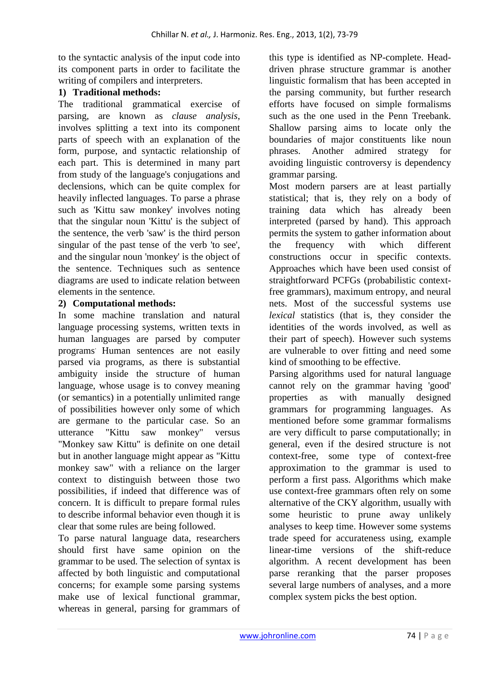to the syntactic analysis of the input code into its component parts in order to facilitate the writing of compilers and interpreters.

## **1) Traditional methods:**

The traditional grammatical exercise of parsing, are known as *clause analysis*, involves splitting a text into its component parts of speech with an explanation of the form, purpose, and syntactic relationship of each part. This is determined in many part from study of the language's conjugations and declensions, which can be quite complex for heavily inflected languages. To parse a phrase such as 'Kittu saw monkey' involves noting that the singular noun 'Kittu' is the subject of the sentence, the verb 'saw' is the third person singular of the past tense of the verb 'to see', and the singular noun 'monkey' is the object of the sentence. Techniques such as sentence diagrams are used to indicate relation between elements in the sentence.

## **2) Computational methods:**

In some machine translation and natural language processing systems, written texts in human languages are parsed by computer programs. Human sentences are not easily parsed via programs, as there is substantial ambiguity inside the structure of human language, whose usage is to convey meaning (or semantics) in a potentially unlimited range of possibilities however only some of which are germane to the particular case. So an utterance "Kittu saw monkey" versus "Monkey saw Kittu" is definite on one detail but in another language might appear as "Kittu monkey saw" with a reliance on the larger context to distinguish between those two possibilities, if indeed that difference was of concern. It is difficult to prepare formal rules to describe informal behavior even though it is clear that some rules are being followed.

To parse natural language data, researchers should first have same opinion on the grammar to be used. The selection of syntax is affected by both linguistic and computational concerns; for example some parsing systems make use of lexical functional grammar, whereas in general, parsing for grammars of this type is identified as NP-complete. Headdriven phrase structure grammar is another linguistic formalism that has been accepted in the parsing community, but further research efforts have focused on simple formalisms such as the one used in the Penn Treebank. Shallow parsing aims to locate only the boundaries of major constituents like noun phrases. Another admired strategy for avoiding linguistic controversy is dependency grammar parsing.

Most modern parsers are at least partially statistical; that is, they rely on a body of training data which has already been interpreted (parsed by hand). This approach permits the system to gather information about the frequency with which different constructions occur in specific contexts. Approaches which have been used consist of straightforward PCFGs (probabilistic contextfree grammars), maximum entropy, and neural nets. Most of the successful systems use *lexical* statistics (that is, they consider the identities of the words involved, as well as their part of speech). However such systems are vulnerable to over fitting and need some kind of smoothing to be effective.

Parsing algorithms used for natural language cannot rely on the grammar having 'good' properties as with manually designed grammars for programming languages. As mentioned before some grammar formalisms are very difficult to parse computationally; in general, even if the desired structure is not context-free, some type of context-free approximation to the grammar is used to perform a first pass. Algorithms which make use context-free grammars often rely on some alternative of the CKY algorithm, usually with some heuristic to prune away unlikely analyses to keep time. However some systems trade speed for accurateness using, example linear-time versions of the shift-reduce algorithm. A recent development has been parse reranking that the parser proposes several large numbers of analyses, and a more complex system picks the best option.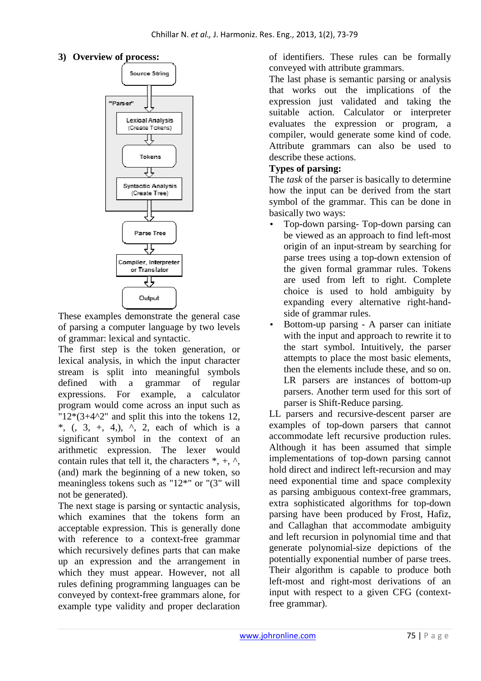## **3) Overview of process:**



These examples demonstrate the general case of parsing a computer language by two levels of grammar: lexical and syntactic.

The first step is the token generation, or lexical analysis, in which the input character stream is split into meaningful symbols defined with a grammar of regular expressions. For example, a calculator program would come across an input such as " $12*(3+4^2)$ " and split this into the tokens 12, \*,  $\left($ ,  $\frac{3}{2}, +$ , 4,  $\right)$ ,  $\left($ ,  $\frac{1}{2}, +$  each of which is a significant symbol in the context of an arithmetic expression. The lexer would contain rules that tell it, the characters  $*, +, \wedge,$ (and) mark the beginning of a new token, so meaningless tokens such as "12\*" or "(3" will not be generated).

The next stage is parsing or syntactic analysis, which examines that the tokens form an acceptable expression. This is generally done with reference to a context-free grammar which recursively defines parts that can make up an expression and the arrangement in which they must appear. However, not all rules defining programming languages can be conveyed by context-free grammars alone, for example type validity and proper declaration of identifiers. These rules can be formally conveyed with attribute grammars.

The last phase is semantic parsing or analysis that works out the implications of the expression just validated and taking the suitable action. Calculator or interpreter evaluates the expression or program, a compiler, would generate some kind of code. Attribute grammars can also be used to describe these actions.

### **Types of parsing:**

The *task* of the parser is basically to determine how the input can be derived from the start symbol of the grammar. This can be done in basically two ways:

- Top-down parsing- Top-down parsing can be viewed as an approach to find left-most origin of an input-stream by searching for parse trees using a top-down extension of the given formal grammar rules. Tokens are used from left to right. Complete choice is used to hold ambiguity by expanding every alternative right-handside of grammar rules.
- Bottom-up parsing A parser can initiate with the input and approach to rewrite it to the start symbol. Intuitively, the parser attempts to place the most basic elements, then the elements include these, and so on. LR parsers are instances of bottom-up parsers. Another term used for this sort of parser is Shift-Reduce parsing.

LL parsers and recursive-descent parser are examples of top-down parsers that cannot accommodate left recursive production rules. Although it has been assumed that simple implementations of top-down parsing cannot hold direct and indirect left-recursion and may need exponential time and space complexity as parsing ambiguous context-free grammars, extra sophisticated algorithms for top-down parsing have been produced by Frost, Hafiz, and Callaghan that accommodate ambiguity and left recursion in polynomial time and that generate polynomial-size depictions of the potentially exponential number of parse trees. Their algorithm is capable to produce both left-most and right-most derivations of an input with respect to a given CFG (contextfree grammar).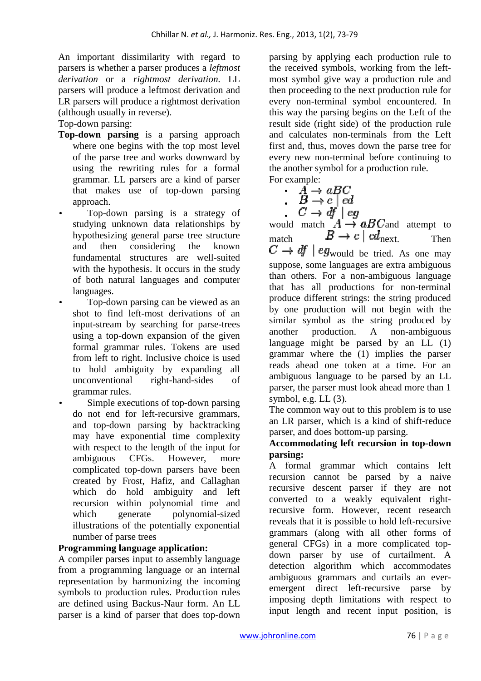An important dissimilarity with regard to parsers is whether a parser produces a *leftmost derivation* or a *rightmost derivation.* LL parsers will produce a leftmost derivation and LR parsers will produce a rightmost derivation (although usually in reverse).

Top-down parsing:

- **Top-down parsing** is a parsing approach where one begins with the top most level of the parse tree and works downward by using the rewriting rules for a formal grammar. LL parsers are a kind of parser that makes use of top-down parsing approach.
- Top-down parsing is a strategy of studying unknown data relationships by hypothesizing general parse tree structure and then considering the known fundamental structures are well-suited with the hypothesis. It occurs in the study of both natural languages and computer languages.
- Top-down parsing can be viewed as an shot to find left-most derivations of an input-stream by searching for parse-trees using a top-down expansion of the given formal grammar rules. Tokens are used from left to right. Inclusive choice is used to hold ambiguity by expanding all unconventional right-hand-sides of grammar rules.
- Simple executions of top-down parsing do not end for left-recursive grammars, and top-down parsing by backtracking may have exponential time complexity with respect to the length of the input for ambiguous CFGs. However, more complicated top-down parsers have been created by Frost, Hafiz, and Callaghan which do hold ambiguity and left recursion within polynomial time and which generate polynomial-sized illustrations of the potentially exponential number of parse trees

#### **Programming language application:**

A compiler parses input to assembly language from a programming language or an internal representation by harmonizing the incoming symbols to production rules. Production rules are defined using Backus-Naur form. An LL parser is a kind of parser that does top-down

parsing by applying each production rule to the received symbols, working from the leftmost symbol give way a production rule and then proceeding to the next production rule for every non-terminal symbol encountered. In this way the parsing begins on the Left of the result side (right side) of the production rule and calculates non-terminals from the Left first and, thus, moves down the parse tree for every new non-terminal before continuing to the another symbol for a production rule. For example:

•  $\overrightarrow{A} \rightarrow aBC$ <br>•  $\overrightarrow{B} \rightarrow c \mid cd$ • • would match  $A \rightarrow aB C$  and attempt to match  $B \to c \mid cd_{\text{next}}$  Then  $C \rightarrow df \mid eg_{\text{would be tried. As one may}$ suppose, some languages are extra ambiguous than others. For a non-ambiguous language that has all productions for non-terminal produce different strings: the string produced by one production will not begin with the similar symbol as the string produced by another production. A non-ambiguous language might be parsed by an LL  $(1)$ grammar where the (1) implies the parser reads ahead one token at a time. For an ambiguous language to be parsed by an LL parser, the parser must look ahead more than 1 symbol, e.g. LL (3).

The common way out to this problem is to use an LR parser, which is a kind of shift-reduce parser, and does bottom-up parsing.

#### **Accommodating left recursion in top-down parsing:**

A formal grammar which contains left recursion cannot be parsed by a naive recursive descent parser if they are not converted to a weakly equivalent rightrecursive form. However, recent research reveals that it is possible to hold left-recursive grammars (along with all other forms of general CFGs) in a more complicated topdown parser by use of curtailment. A detection algorithm which accommodates ambiguous grammars and curtails an everemergent direct left-recursive parse by imposing depth limitations with respect to input length and recent input position, is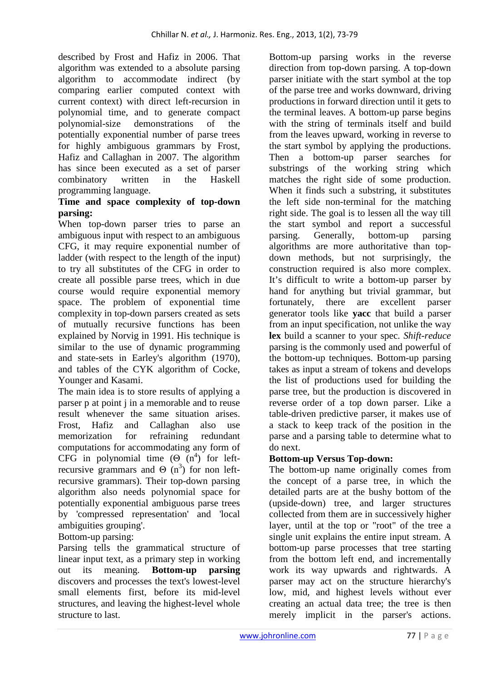described by Frost and Hafiz in 2006. That algorithm was extended to a absolute parsing algorithm to accommodate indirect (by comparing earlier computed context with current context) with direct left-recursion in polynomial time, and to generate compact polynomial-size demonstrations of the potentially exponential number of parse trees for highly ambiguous grammars by Frost, Hafiz and Callaghan in 2007. The algorithm has since been executed as a set of parser combinatory written in the Haskell programming language.

## **Time and space complexity of top-down parsing:**

When top-down parser tries to parse an ambiguous input with respect to an ambiguous CFG, it may require exponential number of ladder (with respect to the length of the input) to try all substitutes of the CFG in order to create all possible parse trees, which in due course would require exponential memory space. The problem of exponential time complexity in top-down parsers created as sets of mutually recursive functions has been explained by Norvig in 1991. His technique is similar to the use of dynamic programming and state-sets in Earley's algorithm (1970), and tables of the CYK algorithm of Cocke, Younger and Kasami.

The main idea is to store results of applying a parser p at point j in a memorable and to reuse result whenever the same situation arises. Frost, Hafiz and Callaghan also use memorization for refraining redundant computations for accommodating any form of CFG in polynomial time  $(\Theta \nvert n^4)$  for leftrecursive grammars and  $\Theta$  (n<sup>3</sup>) for non leftrecursive grammars). Their top-down parsing algorithm also needs polynomial space for potentially exponential ambiguous parse trees by 'compressed representation' and 'local ambiguities grouping'.

## Bottom-up parsing:

Parsing tells the grammatical structure of linear input text, as a primary step in working out its meaning. **Bottom-up parsing** discovers and processes the text's lowest-level small elements first, before its mid-level structures, and leaving the highest-level whole structure to last.

Bottom-up parsing works in the reverse direction from top-down parsing. A top-down parser initiate with the start symbol at the top of the parse tree and works downward, driving productions in forward direction until it gets to the terminal leaves. A bottom-up parse begins with the string of terminals itself and build from the leaves upward, working in reverse to the start symbol by applying the productions. Then a bottom-up parser searches for substrings of the working string which matches the right side of some production. When it finds such a substring, it substitutes the left side non-terminal for the matching right side. The goal is to lessen all the way till the start symbol and report a successful parsing. Generally, bottom-up parsing algorithms are more authoritative than topdown methods, but not surprisingly, the construction required is also more complex. It's difficult to write a bottom-up parser by hand for anything but trivial grammar, but fortunately, there are excellent parser generator tools like **yacc** that build a parser from an input specification, not unlike the way **lex** build a scanner to your spec. *Shift-reduce*  parsing is the commonly used and powerful of the bottom-up techniques. Bottom-up parsing takes as input a stream of tokens and develops the list of productions used for building the parse tree, but the production is discovered in reverse order of a top down parser. Like a table-driven predictive parser, it makes use of a stack to keep track of the position in the parse and a parsing table to determine what to do next.

## **Bottom-up Versus Top-down:**

The bottom-up name originally comes from the concept of a parse tree, in which the detailed parts are at the bushy bottom of the (upside-down) tree, and larger structures collected from them are in successively higher layer, until at the top or "root" of the tree a single unit explains the entire input stream. A bottom-up parse processes that tree starting from the bottom left end, and incrementally work its way upwards and rightwards. A parser may act on the structure hierarchy's low, mid, and highest levels without ever creating an actual data tree; the tree is then merely implicit in the parser's actions.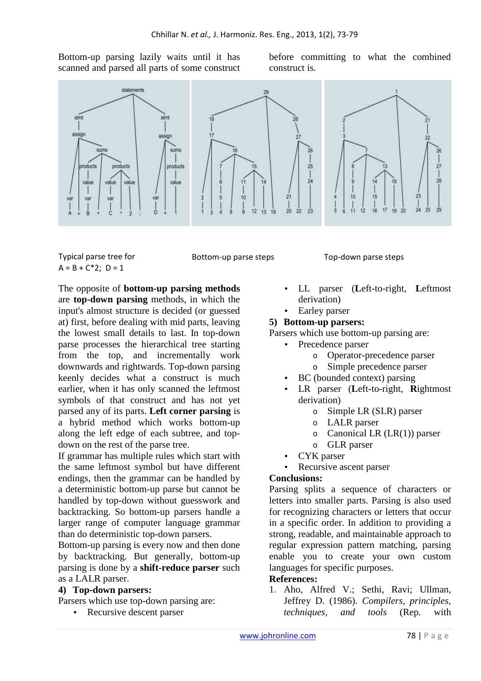Bottom-up parsing lazily waits until it has scanned and parsed all parts of some construct before committing to what the combined construct is.



Typical parse tree for  $A = B + C^*2$ ; D = 1

Bottom-up parse steps Top-down parse steps

The opposite of **bottom-up parsing methods** are **top-down parsing** methods, in which the input's almost structure is decided (or guessed at) first, before dealing with mid parts, leaving the lowest small details to last. In top-down parse processes the hierarchical tree starting from the top, and incrementally work downwards and rightwards. Top-down parsing keenly decides what a construct is much earlier, when it has only scanned the leftmost symbols of that construct and has not yet parsed any of its parts. **Left corner parsing** is a hybrid method which works bottom-up along the left edge of each subtree, and topdown on the rest of the parse tree.

If grammar has multiple rules which start with the same leftmost symbol but have different endings, then the grammar can be handled by a deterministic bottom-up parse but cannot be handled by top-down without guesswork and backtracking. So bottom-up parsers handle a larger range of computer language grammar than do deterministic top-down parsers.

Bottom-up parsing is every now and then done by backtracking. But generally, bottom-up parsing is done by a **shift-reduce parser** such as a LALR parser.

## **4) Top-down parsers:**

Parsers which use top-down parsing are:

• Recursive descent parser

• LL parser (**L**eft-to-right, **L**eftmost derivation)

# Earley parser

## **5) Bottom-up parsers:**

Parsers which use bottom-up parsing are:

- Precedence parser
	- o Operator-precedence parser
	- o Simple precedence parser
- BC (bounded context) parsing
- LR parser (**L**eft-to-right, **R**ightmost derivation)
	- o Simple LR (SLR) parser
	- o LALR parser
	- $\circ$  Canonical LR (LR(1)) parser
	- o GLR parser
- CYK parser
- Recursive ascent parser

#### **Conclusions:**

Parsing splits a sequence of characters or letters into smaller parts. Parsing is also used for recognizing characters or letters that occur in a specific order. In addition to providing a strong, readable, and maintainable approach to regular expression pattern matching, parsing enable you to create your own custom languages for specific purposes.

#### **References:**

1. Aho, Alfred V.; Sethi, Ravi; Ullman, Jeffrey D. (1986). *Compilers, principles, techniques, and tools* (Rep. with